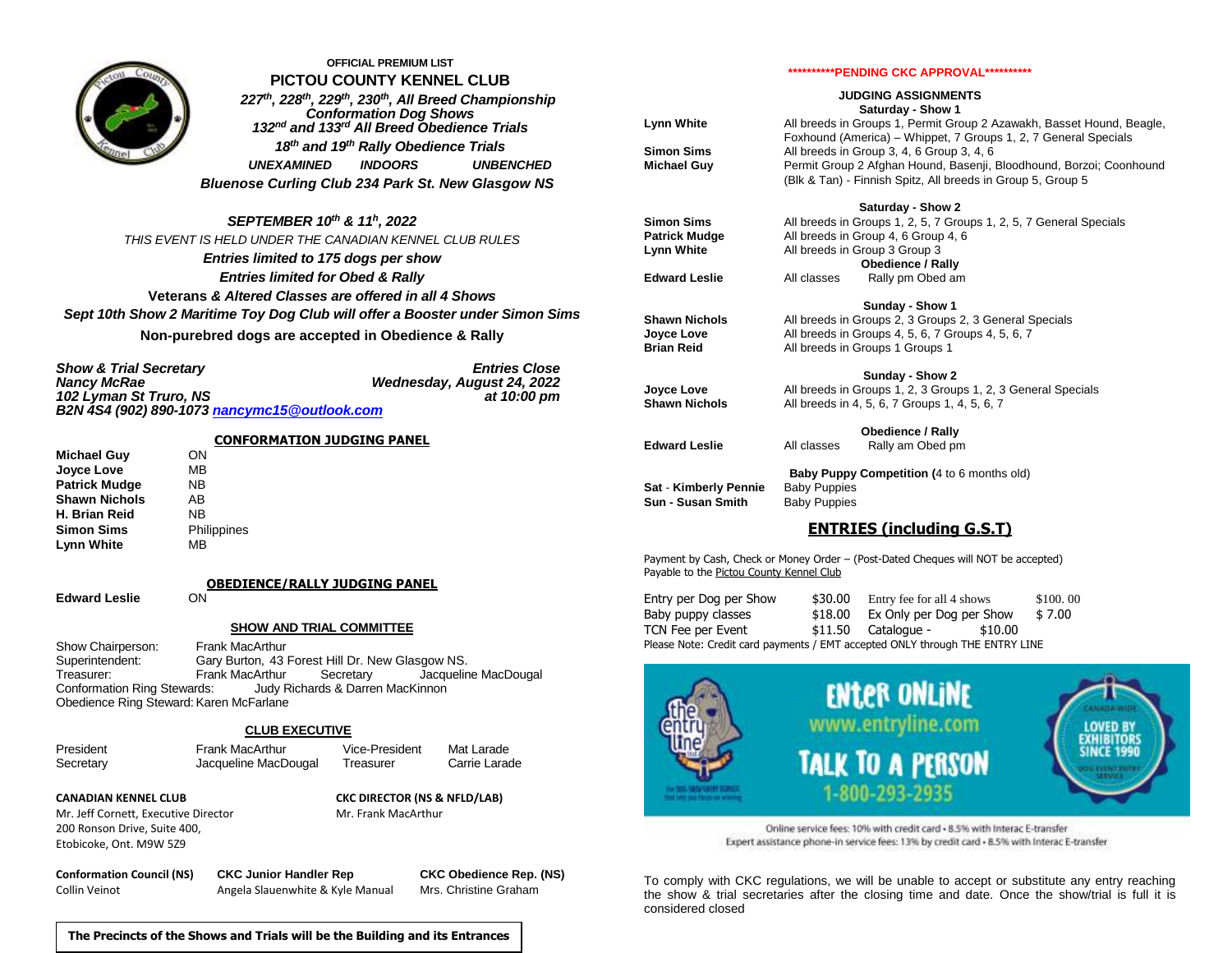

#### **OFFICIAL PREMIUM LIST PICTOU COUNTY KENNEL CLUB**

*227 th, 228 th, 229 th, 230th, All Breed Championship Conformation Dog Shows 132 nd and 133 rd All Breed Obedience Trials 18th and 19 th Rally Obedience Trials UNEXAMINED INDOORS UNBENCHED Bluenose Curling Club 234 Park St. New Glasgow NS*

#### *SEPTEMBER 10th & 11 h , 2022*

*THIS EVENT IS HELD UNDER THE CANADIAN KENNEL CLUB RULES Entries limited to 175 dogs per show Entries limited for Obed & Rally* **Veterans** *& Altered Classes are offered in all 4 Shows Sept 10th Show 2 Maritime Toy Dog Club will offer a Booster under Simon Sims*  **Non-purebred dogs are accepted in Obedience & Rally**

| <b>Show &amp; Trial Secretary</b>            | <b>Entries Close</b>       |
|----------------------------------------------|----------------------------|
| <b>Nancy McRae</b>                           | Wednesday, August 24, 2022 |
| 102 Lyman St Truro, NS                       | at 10:00 pm                |
| B2N 4S4 (902) 890-1073 nancymc15@outlook.com |                            |

#### **CONFORMATION JUDGING PANEL**

**Michael Guy** ON **Joyce Love** MB **Patrick Mudge MB**<br> **Shawn Nichols** AB **Shawn Nichols** AB<br>**H. Brian Reid** NB **H. Brian Reid Simon Sims** Philippines **Lynn White** MB

**OBEDIENCE/RALLY JUDGING PANEL**

**Edward Leslie** ON

### **SHOW AND TRIAL COMMITTEE**

Show Chairperson: Frank MacArthur Superintendent: Gary Burton, 43 Forest Hill Dr. New Glasgow NS. Treasurer: Frank MacArthur Secretary Jacqueline MacDougal Conformation Ring Stewards: Judy Richards & Darren MacKinnon Obedience Ring Steward: Karen McFarlane

#### **CLUB EXECUTIVE**

President Frank MacArthur Vice-President Mat Larade Secretary **Secretary** Jacqueline MacDougal Treasurer Carrie Larade

Mr. Jeff Cornett, Executive Director Mr. Frank MacArthur 200 Ronson Drive, Suite 400, Etobicoke, Ont. M9W 5Z9

**CANADIAN KENNEL CLUB CKC DIRECTOR (NS & NFLD/LAB)**

**\*\*\*\*\*\*\*\*\*\*PENDING CKC APPROVAL\*\*\*\*\*\*\*\*\*\***

#### **JUDGING ASSIGNMENTS Saturday - Show 1**

**Lynn White** All breeds in Groups 1, Permit Group 2 Azawakh, Basset Hound, Beagle, Foxhound (America) – Whippet, 7 Groups 1, 2, 7 General Specials **Simon Sims** All breeds in Group 3, 4, 6 Group 3, 4, 6 **Michael Guy** Permit Group 2 Afghan Hound, Basenji, Bloodhound, Borzoi; Coonhound (Blk & Tan) - Finnish Spitz, All breeds in Group 5, Group 5

#### **Saturday - Show 2**

**Sunday - Show 1**

**Sunday - Show 2**

**Simon Sims** All breeds in Groups 1, 2, 5, 7 Groups 1, 2, 5, 7 General Specials Patrick Mudge All breeds in Group 4, 6 Group 4, 6 **Lynn White** All breeds in Group 3 Group 3 **Obedience / Rally**

**Edward Leslie** All classes Rally pm Obed am

- **Shawn Nichols** All breeds in Groups 2, 3 Groups 2, 3 General Specials **Joyce Love** All breeds in Groups 4, 5, 6, 7 Groups 4, 5, 6, 7 **Brian Reid** All breeds in Groups 1 Groups 1
- **Joyce Love** All breeds in Groups 1, 2, 3 Groups 1, 2, 3 General Specials **Shawn Nichols** All breeds in 4, 5, 6, 7 Groups 1, 4, 5, 6, 7

**Obedience / Rally**

- **Edward Leslie** All classes Rally am Obed pm
- **Baby Puppy Competition (**4 to 6 months old) **Sat** - **Kimberly Pennie** Baby Puppies **Sun - Susan Smith** Baby Puppies

## **ENTRIES (including G.S.T)**

Payment by Cash, Check or Money Order – (Post-Dated Cheques will NOT be accepted) Payable to the Pictou County Kennel Club

| Entry per Dog per Show                                                       | \$30.00 | Entry fee for all 4 shows |         | \$100.00 |
|------------------------------------------------------------------------------|---------|---------------------------|---------|----------|
| Baby puppy classes                                                           | \$18.00 | Ex Only per Dog per Show  |         | \$7.00   |
| TCN Fee per Event                                                            |         | $$11.50$ Catalogue -      | \$10.00 |          |
| Please Note: Credit card payments / EMT accepted ONLY through THE ENTRY LINE |         |                           |         |          |



Online service fees: 10% with credit card · 8.5% with Interac E-transfer Expert assistance phone-in service fees: 13% by credit card - 8.5% with Interac E-transfer

To comply with CKC regulations, we will be unable to accept or substitute any entry reaching the show & trial secretaries after the closing time and date. Once the show/trial is full it is considered closed

**The Precincts of the Shows and Trials will be the Building and its Entrances**

**Conformation Council (NS) CKC Junior Handler Rep CKC Obedience Rep. (NS)** Collin Veinot **Angela Slauenwhite & Kyle Manual** Mrs. Christine Graham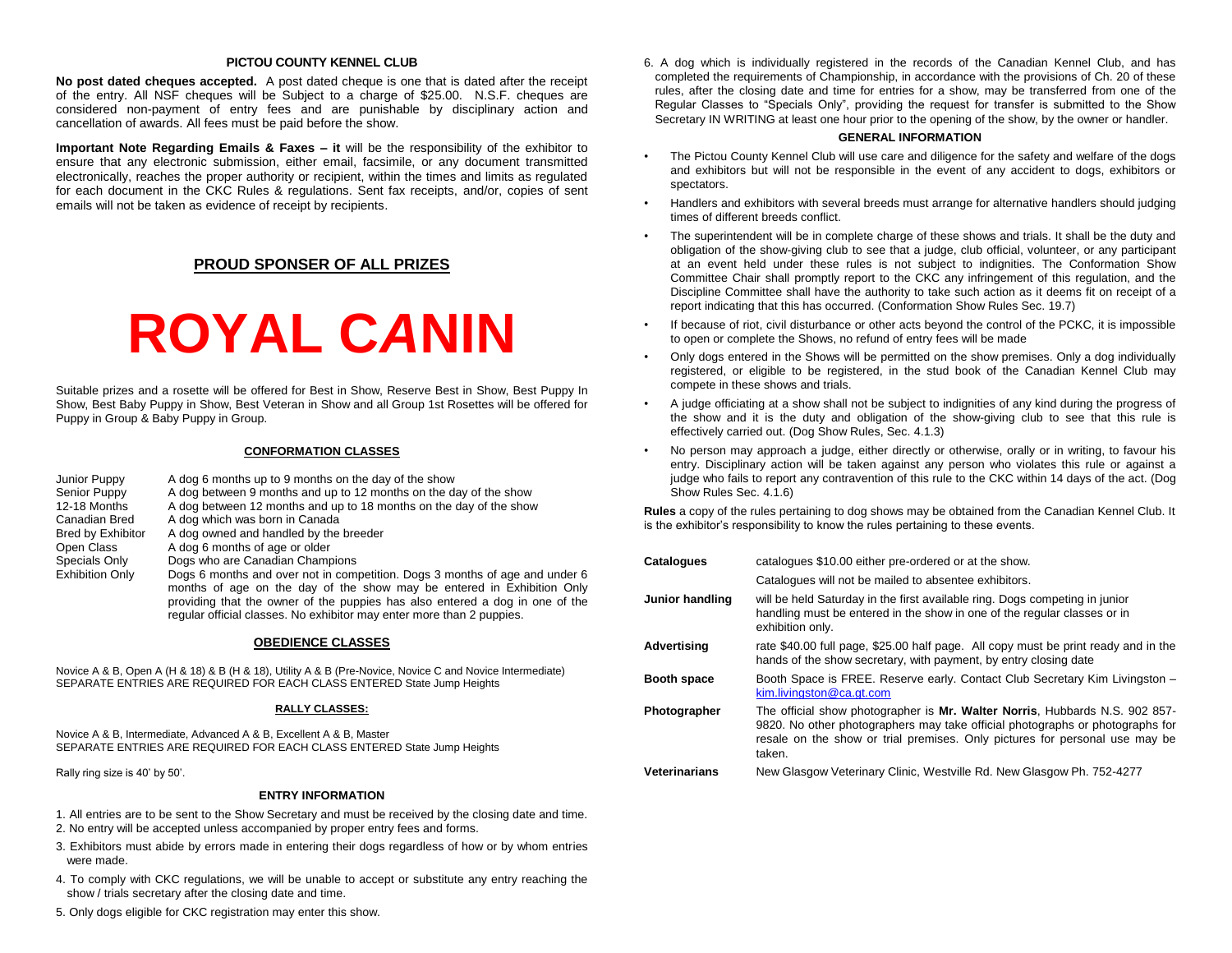#### **PICTOU COUNTY KENNEL CLUB**

**No post dated cheques accepted.** A post dated cheque is one that is dated after the receipt of the entry. All NSF cheques will be Subject to a charge of \$25.00. N.S.F. cheques are considered non-payment of entry fees and are punishable by disciplinary action and cancellation of awards. All fees must be paid before the show.

**Important Note Regarding Emails & Faxes – it** will be the responsibility of the exhibitor to ensure that any electronic submission, either email, facsimile, or any document transmitted electronically, reaches the proper authority or recipient, within the times and limits as regulated for each document in the CKC Rules & regulations. Sent fax receipts, and/or, copies of sent emails will not be taken as evidence of receipt by recipients.

### **PROUD SPONSER OF ALL PRIZES**

# **ROYAL C***A***NIN**

Suitable prizes and a rosette will be offered for Best in Show, Reserve Best in Show, Best Puppy In Show, Best Baby Puppy in Show, Best Veteran in Show and all Group 1st Rosettes will be offered for Puppy in Group & Baby Puppy in Group.

#### **CONFORMATION CLASSES**

| Junior Puppy           | A dog 6 months up to 9 months on the day of the show                                                                                                                                                                                                                                                           |
|------------------------|----------------------------------------------------------------------------------------------------------------------------------------------------------------------------------------------------------------------------------------------------------------------------------------------------------------|
| Senior Puppy           | A dog between 9 months and up to 12 months on the day of the show                                                                                                                                                                                                                                              |
| 12-18 Months           | A dog between 12 months and up to 18 months on the day of the show                                                                                                                                                                                                                                             |
| Canadian Bred          | A dog which was born in Canada                                                                                                                                                                                                                                                                                 |
| Bred by Exhibitor      | A dog owned and handled by the breeder                                                                                                                                                                                                                                                                         |
| Open Class             | A dog 6 months of age or older                                                                                                                                                                                                                                                                                 |
| Specials Only          | Dogs who are Canadian Champions                                                                                                                                                                                                                                                                                |
| <b>Exhibition Only</b> | Dogs 6 months and over not in competition. Dogs 3 months of age and under 6<br>months of age on the day of the show may be entered in Exhibition Only<br>providing that the owner of the puppies has also entered a dog in one of the<br>requiar official classes. No exhibitor may enter more than 2 puppies. |

#### **OBEDIENCE CLASSES**

Novice A & B, Open A (H & 18) & B (H & 18), Utility A & B (Pre-Novice, Novice C and Novice Intermediate) SEPARATE ENTRIES ARE REQUIRED FOR EACH CLASS ENTERED State Jump Heights

#### **RALLY CLASSES:**

Novice A & B, Intermediate, Advanced A & B, Excellent A & B, Master SEPARATE ENTRIES ARE REQUIRED FOR EACH CLASS ENTERED State Jump Heights

Rally ring size is 40' by 50'.

#### **ENTRY INFORMATION**

1. All entries are to be sent to the Show Secretary and must be received by the closing date and time.

- 2. No entry will be accepted unless accompanied by proper entry fees and forms.
- 3. Exhibitors must abide by errors made in entering their dogs regardless of how or by whom entries were made.
- 4. To comply with CKC regulations, we will be unable to accept or substitute any entry reaching the show / trials secretary after the closing date and time.

6. A dog which is individually registered in the records of the Canadian Kennel Club, and has completed the requirements of Championship, in accordance with the provisions of Ch. 20 of these rules, after the closing date and time for entries for a show, may be transferred from one of the Regular Classes to "Specials Only", providing the request for transfer is submitted to the Show Secretary IN WRITING at least one hour prior to the opening of the show, by the owner or handler.

#### **GENERAL INFORMATION**

- The Pictou County Kennel Club will use care and diligence for the safety and welfare of the dogs and exhibitors but will not be responsible in the event of any accident to dogs, exhibitors or spectators.
- Handlers and exhibitors with several breeds must arrange for alternative handlers should judging times of different breeds conflict.
- The superintendent will be in complete charge of these shows and trials. It shall be the duty and obligation of the show-giving club to see that a judge, club official, volunteer, or any participant at an event held under these rules is not subject to indignities. The Conformation Show Committee Chair shall promptly report to the CKC any infringement of this regulation, and the Discipline Committee shall have the authority to take such action as it deems fit on receipt of a report indicating that this has occurred. (Conformation Show Rules Sec. 19.7)
- If because of riot, civil disturbance or other acts beyond the control of the PCKC, it is impossible to open or complete the Shows, no refund of entry fees will be made
- Only dogs entered in the Shows will be permitted on the show premises. Only a dog individually registered, or eligible to be registered, in the stud book of the Canadian Kennel Club may compete in these shows and trials.
- A judge officiating at a show shall not be subject to indignities of any kind during the progress of the show and it is the duty and obligation of the show-giving club to see that this rule is effectively carried out. (Dog Show Rules, Sec. 4.1.3)
- No person may approach a judge, either directly or otherwise, orally or in writing, to favour his entry. Disciplinary action will be taken against any person who violates this rule or against a judge who fails to report any contravention of this rule to the CKC within 14 days of the act. (Dog Show Rules Sec. 4.1.6)

**Rules** a copy of the rules pertaining to dog shows may be obtained from the Canadian Kennel Club. It is the exhibitor's responsibility to know the rules pertaining to these events.

| <b>Catalogues</b>    | catalogues \$10.00 either pre-ordered or at the show.                                                                                                                                                                                                 |
|----------------------|-------------------------------------------------------------------------------------------------------------------------------------------------------------------------------------------------------------------------------------------------------|
|                      | Catalogues will not be mailed to absentee exhibitors.                                                                                                                                                                                                 |
| Junior handling      | will be held Saturday in the first available ring. Dogs competing in junior<br>handling must be entered in the show in one of the regular classes or in<br>exhibition only.                                                                           |
| Advertising          | rate \$40.00 full page, \$25.00 half page. All copy must be print ready and in the<br>hands of the show secretary, with payment, by entry closing date                                                                                                |
| <b>Booth space</b>   | Booth Space is FREE. Reserve early. Contact Club Secretary Kim Livingston -<br>kim.livingston@ca.gt.com                                                                                                                                               |
| Photographer         | The official show photographer is Mr. Walter Norris, Hubbards N.S. 902 857-<br>9820. No other photographers may take official photographs or photographs for<br>resale on the show or trial premises. Only pictures for personal use may be<br>taken. |
| <b>Veterinarians</b> | New Glasgow Veterinary Clinic, Westville Rd. New Glasgow Ph. 752-4277                                                                                                                                                                                 |

5. Only dogs eligible for CKC registration may enter this show.